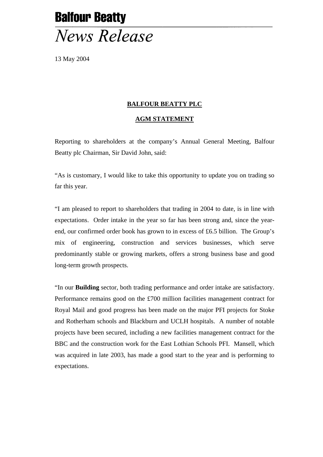## **Balfour Beatty News Release**

13 May 2004

## **BALFOUR BEATTY PLC**

## **AGM STATEMENT**

Reporting to shareholders at the company's Annual General Meeting, Balfour Beatty plc Chairman, Sir David John, said:

"As is customary, I would like to take this opportunity to update you on trading so far this year.

"I am pleased to report to shareholders that trading in 2004 to date, is in line with expectations. Order intake in the year so far has been strong and, since the yearend, our confirmed order book has grown to in excess of £6.5 billion. The Group's mix of engineering, construction and services businesses, which serve predominantly stable or growing markets, offers a strong business base and good long-term growth prospects.

"In our **Building** sector, both trading performance and order intake are satisfactory. Performance remains good on the £700 million facilities management contract for Royal Mail and good progress has been made on the major PFI projects for Stoke and Rotherham schools and Blackburn and UCLH hospitals. A number of notable projects have been secured, including a new facilities management contract for the BBC and the construction work for the East Lothian Schools PFI. Mansell, which was acquired in late 2003, has made a good start to the year and is performing to expectations.